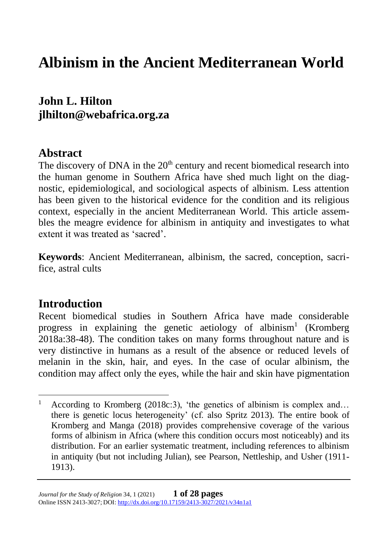# **Albinism in the Ancient Mediterranean World**

**John L. Hilton jlhilton@webafrica.org.za**

# **Abstract**

The discovery of DNA in the  $20<sup>th</sup>$  century and recent biomedical research into the human genome in Southern Africa have shed much light on the diagnostic, epidemiological, and sociological aspects of albinism. Less attention has been given to the historical evidence for the condition and its religious context, especially in the ancient Mediterranean World. This article assembles the meagre evidence for albinism in antiquity and investigates to what extent it was treated as 'sacred'.

**Keywords**: Ancient Mediterranean, albinism, the sacred, conception, sacrifice, astral cults

# **Introduction**

Recent biomedical studies in Southern Africa have made considerable progress in explaining the genetic aetiology of albinism<sup>1</sup> (Kromberg 2018a:38-48). The condition takes on many forms throughout nature and is very distinctive in humans as a result of the absence or reduced levels of melanin in the skin, hair, and eyes. In the case of ocular albinism, the condition may affect only the eyes, while the hair and skin have pigmentation

<sup>&</sup>lt;sup>1</sup> According to Kromberg (2018c:3), 'the genetics of albinism is complex and... there is genetic locus heterogeneity' (cf. also Spritz 2013). The entire book of Kromberg and Manga (2018) provides comprehensive coverage of the various forms of albinism in Africa (where this condition occurs most noticeably) and its distribution. For an earlier systematic treatment, including references to albinism in antiquity (but not including Julian), see Pearson, Nettleship, and Usher (1911- 1913).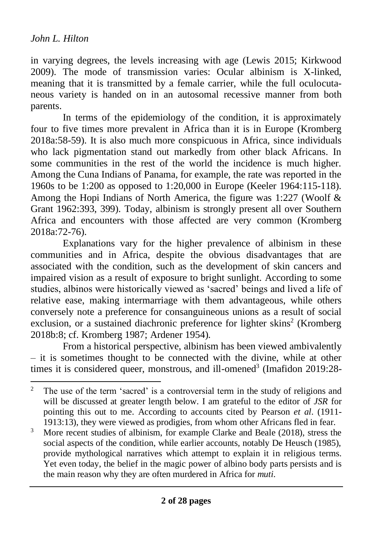in varying degrees, the levels increasing with age (Lewis 2015; Kirkwood 2009). The mode of transmission varies: Ocular albinism is X-linked, meaning that it is transmitted by a female carrier, while the full oculocutaneous variety is handed on in an autosomal recessive manner from both parents.

In terms of the epidemiology of the condition, it is approximately four to five times more prevalent in Africa than it is in Europe (Kromberg 2018a:58-59). It is also much more conspicuous in Africa, since individuals who lack pigmentation stand out markedly from other black Africans. In some communities in the rest of the world the incidence is much higher. Among the Cuna Indians of Panama, for example, the rate was reported in the 1960s to be 1:200 as opposed to 1:20,000 in Europe (Keeler 1964:115-118). Among the Hopi Indians of North America, the figure was 1:227 (Woolf & Grant 1962:393, 399). Today, albinism is strongly present all over Southern Africa and encounters with those affected are very common (Kromberg 2018a:72-76).

Explanations vary for the higher prevalence of albinism in these communities and in Africa, despite the obvious disadvantages that are associated with the condition, such as the development of skin cancers and impaired vision as a result of exposure to bright sunlight. According to some studies, albinos were historically viewed as 'sacred' beings and lived a life of relative ease, making intermarriage with them advantageous, while others conversely note a preference for consanguineous unions as a result of social exclusion, or a sustained diachronic preference for lighter skins<sup>2</sup> (Kromberg 2018b:8; cf. Kromberg 1987; Ardener 1954).

From a historical perspective, albinism has been viewed ambivalently – it is sometimes thought to be connected with the divine, while at other times it is considered queer, monstrous, and ill-omened<sup>3</sup> (Imafidon 2019:28-

<sup>&</sup>lt;sup>2</sup> The use of the term 'sacred' is a controversial term in the study of religions and will be discussed at greater length below. I am grateful to the editor of *JSR* for pointing this out to me. According to accounts cited by Pearson *et al*. (1911- 1913:13), they were viewed as prodigies, from whom other Africans fled in fear.

<sup>&</sup>lt;sup>3</sup> More recent studies of albinism, for example Clarke and Beale (2018), stress the social aspects of the condition, while earlier accounts, notably De Heusch (1985), provide mythological narratives which attempt to explain it in religious terms. Yet even today, the belief in the magic power of albino body parts persists and is the main reason why they are often murdered in Africa for *muti*.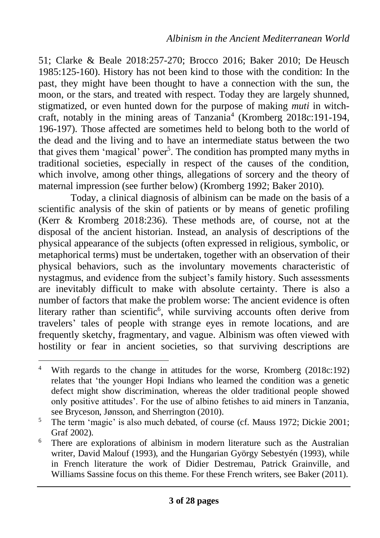51; Clarke & Beale 2018:257-270; Brocco 2016; Baker 2010; De Heusch 1985:125-160). History has not been kind to those with the condition: In the past, they might have been thought to have a connection with the sun, the moon, or the stars, and treated with respect. Today they are largely shunned, stigmatized, or even hunted down for the purpose of making *muti* in witchcraft, notably in the mining areas of Tanzania<sup>4</sup> (Kromberg 2018c:191-194, 196-197). Those affected are sometimes held to belong both to the world of the dead and the living and to have an intermediate status between the two that gives them 'magical' power<sup>5</sup>. The condition has prompted many myths in traditional societies, especially in respect of the causes of the condition, which involve, among other things, allegations of sorcery and the theory of maternal impression (see further below) (Kromberg 1992; Baker 2010).

Today, a clinical diagnosis of albinism can be made on the basis of a scientific analysis of the skin of patients or by means of genetic profiling (Kerr & Kromberg 2018:236). These methods are, of course, not at the disposal of the ancient historian. Instead, an analysis of descriptions of the physical appearance of the subjects (often expressed in religious, symbolic, or metaphorical terms) must be undertaken, together with an observation of their physical behaviors, such as the involuntary movements characteristic of nystagmus, and evidence from the subject's family history. Such assessments are inevitably difficult to make with absolute certainty. There is also a number of factors that make the problem worse: The ancient evidence is often literary rather than scientific<sup>6</sup>, while surviving accounts often derive from travelers' tales of people with strange eyes in remote locations, and are frequently sketchy, fragmentary, and vague. Albinism was often viewed with hostility or fear in ancient societies, so that surviving descriptions are

<sup>&</sup>lt;sup>4</sup> With regards to the change in attitudes for the worse, Kromberg (2018c:192) relates that 'the younger Hopi Indians who learned the condition was a genetic defect might show discrimination, whereas the older traditional people showed only positive attitudes'. For the use of albino fetishes to aid miners in Tanzania, see Bryceson, Jønsson, and Sherrington (2010).

<sup>&</sup>lt;sup>5</sup> The term 'magic' is also much debated, of course (cf. Mauss 1972; Dickie 2001; Graf 2002).

<sup>&</sup>lt;sup>6</sup> There are explorations of albinism in modern literature such as the Australian writer, David Malouf (1993), and the Hungarian György Sebestyén (1993), while in French literature the work of Didier Destremau, Patrick Grainville, and Williams Sassine focus on this theme. For these French writers, see Baker (2011).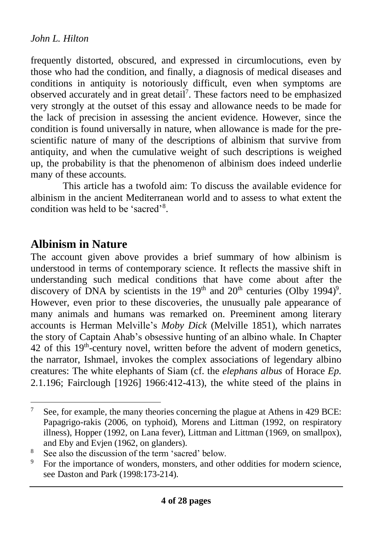frequently distorted, obscured, and expressed in circumlocutions, even by those who had the condition, and finally, a diagnosis of medical diseases and conditions in antiquity is notoriously difficult, even when symptoms are observed accurately and in great detail<sup>7</sup>. These factors need to be emphasized very strongly at the outset of this essay and allowance needs to be made for the lack of precision in assessing the ancient evidence. However, since the condition is found universally in nature, when allowance is made for the prescientific nature of many of the descriptions of albinism that survive from antiquity, and when the cumulative weight of such descriptions is weighed up, the probability is that the phenomenon of albinism does indeed underlie many of these accounts.

This article has a twofold aim: To discuss the available evidence for albinism in the ancient Mediterranean world and to assess to what extent the condition was held to be 'sacred'<sup>8</sup>.

# **Albinism in Nature**

The account given above provides a brief summary of how albinism is understood in terms of contemporary science. It reflects the massive shift in understanding such medical conditions that have come about after the discovery of DNA by scientists in the  $19<sup>th</sup>$  and  $20<sup>th</sup>$  centuries (Olby 1994)<sup>9</sup>. However, even prior to these discoveries, the unusually pale appearance of many animals and humans was remarked on. Preeminent among literary accounts is Herman Melville's *Moby Dick* (Melville 1851), which narrates the story of Captain Ahab's obsessive hunting of an albino whale. In Chapter  $42$  of this  $19<sup>th</sup>$ -century novel, written before the advent of modern genetics, the narrator, Ishmael, invokes the complex associations of legendary albino creatures: The white elephants of Siam (cf. the *elephans albus* of Horace *Ep.*  2.1.196; Fairclough [1926] 1966:412-413), the white steed of the plains in

<sup>&</sup>lt;sup>7</sup> See, for example, the many theories concerning the plague at Athens in 429 BCE: Papagrigo-rakis (2006, on typhoid), Morens and Littman (1992, on respiratory illness), Hopper (1992, on Lana fever), Littman and Littman (1969, on smallpox), and Eby and Evjen (1962, on glanders).

<sup>&</sup>lt;sup>8</sup> See also the discussion of the term 'sacred' below.<br><sup>9</sup> Eq. the importance of wonders, moneters, and other

For the importance of wonders, monsters, and other oddities for modern science, see Daston and Park (1998:173-214).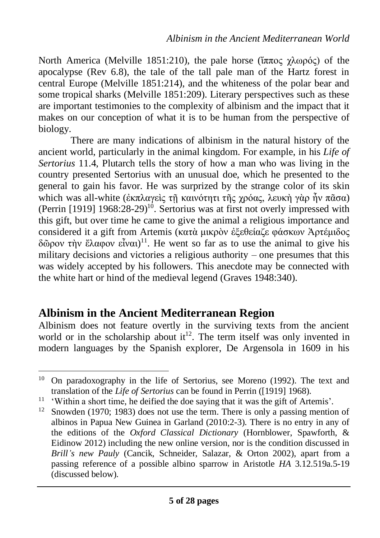North America (Melville 1851:210), the pale horse (ἵππος χλωρός) of the apocalypse (Rev 6.8), the tale of the tall pale man of the Hartz forest in central Europe (Melville 1851:214), and the whiteness of the polar bear and some tropical sharks (Melville 1851:209). Literary perspectives such as these are important testimonies to the complexity of albinism and the impact that it makes on our conception of what it is to be human from the perspective of biology.

There are many indications of albinism in the natural history of the ancient world, particularly in the animal kingdom. For example, in his *Life of Sertorius* 11.4, Plutarch tells the story of how a man who was living in the country presented Sertorius with an unusual doe, which he presented to the general to gain his favor. He was surprized by the strange color of its skin which was all-white (ἐκπλαγεὶς τῆ καινότητι τῆς χρόας, λευκὴ γὰρ ἦν πᾶσα) (Perrin [1919]  $1968:28-29$ <sup>10</sup>. Sertorius was at first not overly impressed with this gift, but over time he came to give the animal a religious importance and considered it a gift from Artemis (κατὰ μικρὸν ἐξεθείαζε φάσκων Ἀρτέμιδος δῶρον τὴν ἔλαφον εἶναι)<sup>11</sup>. He went so far as to use the animal to give his military decisions and victories a religious authority – one presumes that this was widely accepted by his followers. This anecdote may be connected with the white hart or hind of the medieval legend (Graves 1948:340).

# **Albinism in the Ancient Mediterranean Region**

Albinism does not feature overtly in the surviving texts from the ancient world or in the scholarship about  $it^{12}$ . The term itself was only invented in modern languages by the Spanish explorer, De Argensola in 1609 in his

<sup>&</sup>lt;sup>10</sup> On paradoxography in the life of Sertorius, see Moreno (1992). The text and translation of the *Life of Sertorius* can be found in Perrin ([1919] 1968).

<sup>&</sup>lt;sup>11</sup> 'Within a short time, he deified the doe saying that it was the gift of Artemis'.

<sup>&</sup>lt;sup>12</sup> Snowden (1970; 1983) does not use the term. There is only a passing mention of albinos in Papua New Guinea in Garland (2010:2-3). There is no entry in any of the editions of the *Oxford Classical Dictionary* (Hornblower, Spawforth, & Eidinow 2012) including the new online version, nor is the condition discussed in *Brill's new Pauly* (Cancik, Schneider, Salazar, & Orton 2002), apart from a passing reference of a possible albino sparrow in Aristotle *HA* 3.12.519a.5-19 (discussed below).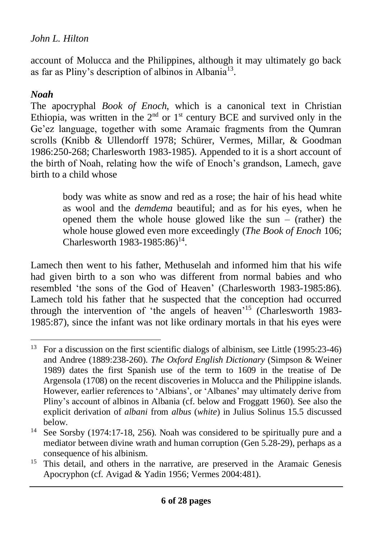account of Molucca and the Philippines, although it may ultimately go back as far as Pliny's description of albinos in Albania<sup>13</sup>.

#### *Noah*

The apocryphal *Book of Enoch*, which is a canonical text in Christian Ethiopia, was written in the  $2<sup>nd</sup>$  or  $1<sup>st</sup>$  century BCE and survived only in the Ge'ez language, together with some Aramaic fragments from the Qumran scrolls (Knibb & Ullendorff 1978; Schürer, Vermes, Millar, & Goodman 1986:250-268; Charlesworth 1983-1985). Appended to it is a short account of the birth of Noah, relating how the wife of Enoch's grandson, Lamech, gave birth to a child whose

> body was white as snow and red as a rose; the hair of his head white as wool and the *demdema* beautiful; and as for his eyes, when he opened them the whole house glowed like the sun – (rather) the whole house glowed even more exceedingly (*The Book of Enoch* 106; Charlesworth  $1983 - 1985 : 86$ <sup>14</sup>.

Lamech then went to his father, Methuselah and informed him that his wife had given birth to a son who was different from normal babies and who resembled 'the sons of the God of Heaven' (Charlesworth 1983-1985:86). Lamech told his father that he suspected that the conception had occurred through the intervention of 'the angels of heaven'<sup>15</sup> (Charlesworth 1983-1985:87), since the infant was not like ordinary mortals in that his eyes were

<sup>&</sup>lt;sup>13</sup> For a discussion on the first scientific dialogs of albinism, see Little (1995:23-46) and Andree (1889:238-260). *The Oxford English Dictionary* (Simpson & Weiner 1989) dates the first Spanish use of the term to 1609 in the treatise of De Argensola (1708) on the recent discoveries in Molucca and the Philippine islands. However, earlier references to 'Albians', or 'Albanes' may ultimately derive from Pliny's account of albinos in Albania (cf. below and Froggatt 1960). See also the explicit derivation of *albani* from *albus* (*white*) in Julius Solinus 15.5 discussed below.

<sup>&</sup>lt;sup>14</sup> See Sorsby (1974:17-18, 256). Noah was considered to be spiritually pure and a mediator between divine wrath and human corruption (Gen 5.28-29), perhaps as a consequence of his albinism.

<sup>&</sup>lt;sup>15</sup> This detail, and others in the narrative, are preserved in the Aramaic Genesis Apocryphon (cf. Avigad & Yadin 1956; Vermes 2004:481).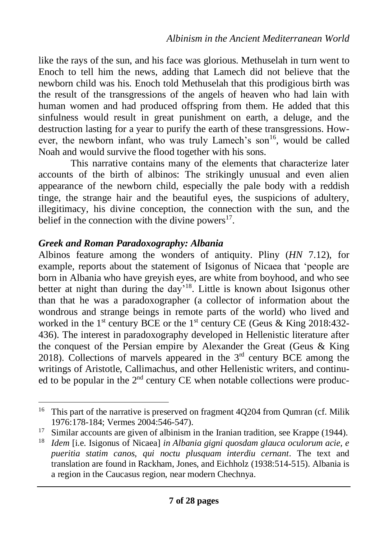like the rays of the sun, and his face was glorious. Methuselah in turn went to Enoch to tell him the news, adding that Lamech did not believe that the newborn child was his. Enoch told Methuselah that this prodigious birth was the result of the transgressions of the angels of heaven who had lain with human women and had produced offspring from them. He added that this sinfulness would result in great punishment on earth, a deluge, and the destruction lasting for a year to purify the earth of these transgressions. However, the newborn infant, who was truly Lamech's son<sup>16</sup>, would be called Noah and would survive the flood together with his sons.

This narrative contains many of the elements that characterize later accounts of the birth of albinos: The strikingly unusual and even alien appearance of the newborn child, especially the pale body with a reddish tinge, the strange hair and the beautiful eyes, the suspicions of adultery, illegitimacy, his divine conception, the connection with the sun, and the belief in the connection with the divine powers $17$ .

#### *Greek and Roman Paradoxography: Albania*

Albinos feature among the wonders of antiquity. Pliny (*HN* 7.12), for example, reports about the statement of Isigonus of Nicaea that 'people are born in Albania who have greyish eyes, are white from boyhood, and who see better at night than during the day<sup>18</sup>. Little is known about Isigonus other than that he was a paradoxographer (a collector of information about the wondrous and strange beings in remote parts of the world) who lived and worked in the 1<sup>st</sup> century BCE or the 1<sup>st</sup> century CE (Geus & King 2018:432-436). The interest in paradoxography developed in Hellenistic literature after the conquest of the Persian empire by Alexander the Great (Geus & King 2018). Collections of marvels appeared in the  $3<sup>rd</sup>$  century BCE among the writings of Aristotle, Callimachus, and other Hellenistic writers, and continued to be popular in the  $2<sup>nd</sup>$  century CE when notable collections were produc-

<sup>&</sup>lt;sup>16</sup> This part of the narrative is preserved on fragment 4Q204 from Qumran (cf. Milik 1976:178-184; Vermes 2004:546-547).

<sup>&</sup>lt;sup>17</sup> Similar accounts are given of albinism in the Iranian tradition, see Krappe (1944).

<sup>18</sup> *Idem* [i.e. Isigonus of Nicaea] *in Albania gigni quosdam glauca oculorum acie, e pueritia statim canos, qui noctu plusquam interdiu cernant*. The text and translation are found in Rackham, Jones, and Eichholz (1938:514-515). Albania is a region in the Caucasus region, near modern Chechnya.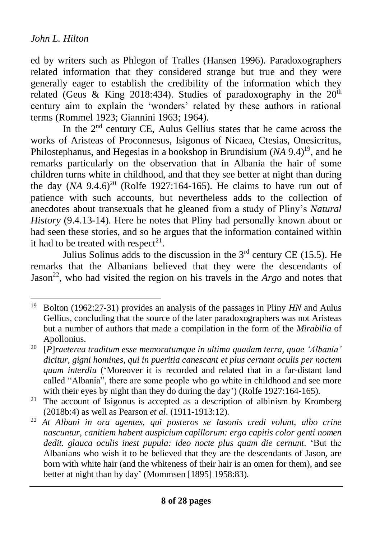ed by writers such as Phlegon of Tralles (Hansen 1996). Paradoxographers related information that they considered strange but true and they were generally eager to establish the credibility of the information which they related (Geus & King 2018:434). Studies of paradoxography in the  $20^{\text{th}}$ century aim to explain the 'wonders' related by these authors in rational terms (Rommel 1923; Giannini 1963; 1964).

In the  $2<sup>nd</sup>$  century CE, Aulus Gellius states that he came across the works of Aristeas of Proconnesus, Isigonus of Nicaea, Ctesias, Onesicritus, Philostephanus, and Hegesias in a bookshop in Brundisium (NA 9.4)<sup>19</sup>, and he remarks particularly on the observation that in Albania the hair of some children turns white in childhood, and that they see better at night than during the day  $(NA \t 9.4.6)^{20}$  (Rolfe 1927:164-165). He claims to have run out of patience with such accounts, but nevertheless adds to the collection of anecdotes about transexuals that he gleaned from a study of Pliny's *Natural History* (9.4.13-14). Here he notes that Pliny had personally known about or had seen these stories, and so he argues that the information contained within it had to be treated with respect<sup>21</sup>.

Julius Solinus adds to the discussion in the  $3<sup>rd</sup>$  century CE (15.5). He remarks that the Albanians believed that they were the descendants of Jason<sup>22</sup>, who had visited the region on his travels in the *Argo* and notes that

<sup>19</sup> Bolton (1962:27-31) provides an analysis of the passages in Pliny *HN* and Aulus Gellius, concluding that the source of the later paradoxographers was not Aristeas but a number of authors that made a compilation in the form of the *Mirabilia* of Apollonius.

<sup>20</sup> [*P*]*raeterea traditum esse memoratumque in ultima quadam terra, quae 'Albania' dicitur, gigni homines, qui in pueritia canescant et plus cernant oculis per noctem quam interdiu* ('Moreover it is recorded and related that in a far-distant land called "Albania", there are some people who go white in childhood and see more with their eyes by night than they do during the day') (Rolfe 1927:164-165).

<sup>&</sup>lt;sup>21</sup> The account of Isigonus is accepted as a description of albinism by Kromberg (2018b:4) as well as Pearson *et al*. (1911-1913:12).

<sup>22</sup> *At Albani in ora agentes, qui posteros se Iasonis credi volunt, albo crine nascuntur, canitiem habent auspicium capillorum: ergo capitis color genti nomen dedit. glauca oculis inest pupula: ideo nocte plus quam die cernunt.* 'But the Albanians who wish it to be believed that they are the descendants of Jason, are born with white hair (and the whiteness of their hair is an omen for them), and see better at night than by day' (Mommsen [1895] 1958:83).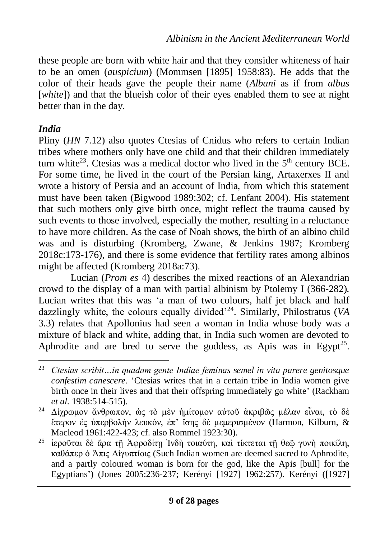these people are born with white hair and that they consider whiteness of hair to be an omen (*auspicium*) (Mommsen [1895] 1958:83). He adds that the color of their heads gave the people their name (*Albani* as if from *albus*  [*white*]) and that the blueish color of their eyes enabled them to see at night better than in the day.

## *India*

Pliny (*HN* 7.12) also quotes Ctesias of Cnidus who refers to certain Indian tribes where mothers only have one child and that their children immediately turn white<sup>23</sup>. Ctesias was a medical doctor who lived in the  $5<sup>th</sup>$  century BCE. For some time, he lived in the court of the Persian king, Artaxerxes II and wrote a history of Persia and an account of India, from which this statement must have been taken (Bigwood 1989:302; cf. Lenfant 2004). His statement that such mothers only give birth once, might reflect the trauma caused by such events to those involved, especially the mother, resulting in a reluctance to have more children. As the case of Noah shows, the birth of an albino child was and is disturbing (Kromberg, Zwane, & Jenkins 1987; Kromberg 2018c:173-176), and there is some evidence that fertility rates among albinos might be affected (Kromberg 2018a:73).

Lucian (*Prom es* 4) describes the mixed reactions of an Alexandrian crowd to the display of a man with partial albinism by Ptolemy I (366-282). Lucian writes that this was 'a man of two colours, half jet black and half dazzlingly white, the colours equally divided'<sup>24</sup>. Similarly, Philostratus (*VA* 3.3) relates that Apollonius had seen a woman in India whose body was a mixture of black and white, adding that, in India such women are devoted to Aphrodite and are bred to serve the goddess, as Apis was in Egypt<sup>25</sup>.

<sup>23</sup> *Ctesias scribit…in quadam gente Indiae feminas semel in vita parere genitosque confestim canescere*. 'Ctesias writes that in a certain tribe in India women give birth once in their lives and that their offspring immediately go white' (Rackham *et al*. 1938:514-515).

<sup>24</sup> Δίχρωμον ἄνθρωπον, ὡς τὸ μὲν ἡμίτομον αὐτοῦ ἀκριβῶς μέλαν εἶναι, τὸ δὲ ἕτερον ἐς ὑπερβολὴν λευκόν, ἐπ' ἴσης δὲ μεμερισμένον (Harmon, Kilburn, & Macleod 1961:422-423; cf. also Rommel 1923:30).

<sup>&</sup>lt;sup>25</sup> ίεροῦται δὲ ἄρα τῆ Ἀφροδίτη Ἰνδὴ τοιαύτη, καὶ τίκτεται τῆ θεῶ γυνὴ ποικίλη, καθάπερ ὁ Ἀπις Αἰγυπτίοις (Such Indian women are deemed sacred to Aphrodite, and a partly coloured woman is born for the god, like the Apis [bull] for the Egyptians') (Jones 2005:236-237; Kerényi [1927] 1962:257). Kerényi ([1927]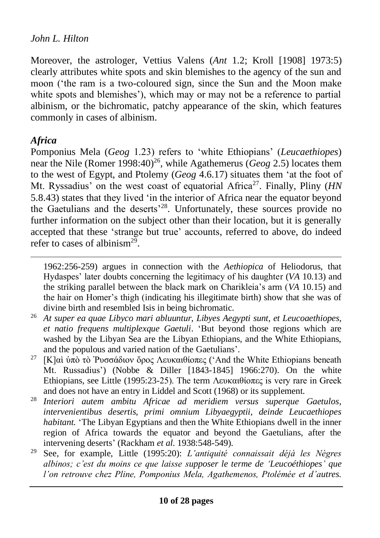Moreover, the astrologer, Vettius Valens (*Ant* 1.2; Kroll [1908] 1973:5) clearly attributes white spots and skin blemishes to the agency of the sun and moon ('the ram is a two-coloured sign, since the Sun and the Moon make white spots and blemishes'), which may or may not be a reference to partial albinism, or the bichromatic, patchy appearance of the skin, which features commonly in cases of albinism.

## *Africa*

Pomponius Mela (*Geog* 1.23) refers to 'white Ethiopians' (*Leucaethiopes*) near the Nile (Romer 1998:40) 26 , while Agathemerus (*Geog* 2.5) locates them to the west of Egypt, and Ptolemy (*Geog* 4.6.17) situates them 'at the foot of Mt. Ryssadius' on the west coast of equatorial Africa<sup>27</sup>. Finally, Pliny (*HN* 5.8.43) states that they lived 'in the interior of Africa near the equator beyond the Gaetulians and the deserts<sup>28</sup>. Unfortunately, these sources provide no further information on the subject other than their location, but it is generally accepted that these 'strange but true' accounts, referred to above, do indeed refer to cases of albinism<sup>29</sup>.

1962:256-259) argues in connection with the *Aethiopica* of Heliodorus, that Hydaspes' later doubts concerning the legitimacy of his daughter (*VA* 10.13) and the striking parallel between the black mark on Charikleia's arm (*VA* 10.15) and the hair on Homer's thigh (indicating his illegitimate birth) show that she was of divine birth and resembled Isis in being bichromatic.

- <sup>26</sup> *At super ea quae Libyco mari abluuntur, Libyes Aegypti sunt, et Leucoaethiopes, et natio frequens multiplexque Gaetuli*. 'But beyond those regions which are washed by the Libyan Sea are the Libyan Ethiopians, and the White Ethiopians, and the populous and varied nation of the Gaetulians'.
- <sup>27</sup> [Κ]αὶ ὑπὸ τὸ Ῥυσσάδιον ὄρος Λευκαιθίοπες ('And the White Ethiopians beneath Mt. Russadius') (Nobbe & Diller [1843-1845] 1966:270). On the white Ethiopians, see Little (1995:23-25). The term Λευκαιθίοπες is very rare in Greek and does not have an entry in Liddel and Scott (1968) or its supplement.
- <sup>28</sup> *Interiori autem ambitu Africae ad meridiem versus superque Gaetulos, intervenientibus desertis, primi omnium Libyaegyptii, deinde Leucaethiopes habitant.* 'The Libyan Egyptians and then the White Ethiopians dwell in the inner region of Africa towards the equator and beyond the Gaetulians, after the intervening deserts' (Rackham *et al*. 1938:548-549).
- <sup>29</sup> See, for example, Little (1995:20): *L'antiquité connaissait déjà les Nègres albinos; c'est du moins ce que laisse supposer le terme de 'Leucoéthiopes' que l'on retrouve chez Pline, Pomponius Mela, Agathemenos, Ptolémée et d'autres.*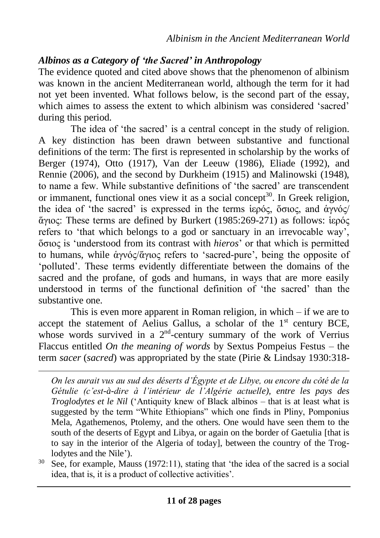## *Albinos as a Category of 'the Sacred' in Anthropology*

The evidence quoted and cited above shows that the phenomenon of albinism was known in the ancient Mediterranean world, although the term for it had not yet been invented. What follows below, is the second part of the essay, which aimes to assess the extent to which albinism was considered 'sacred' during this period.

The idea of 'the sacred' is a central concept in the study of religion. A key distinction has been drawn between substantive and functional definitions of the term: The first is represented in scholarship by the works of Berger (1974), Otto (1917), Van der Leeuw (1986), Eliade (1992), and Rennie (2006), and the second by Durkheim (1915) and Malinowski (1948), to name a few. While substantive definitions of 'the sacred' are transcendent or immanent, functional ones view it as a social concept<sup>30</sup>. In Greek religion, the idea of 'the sacred' is expressed in the terms ἱερός, ὅσιος, and ἁγνός/ ἅγιος: These terms are defined by Burkert (1985:269-271) as follows: ἱερός refers to 'that which belongs to a god or sanctuary in an irrevocable way', ὅσιος is 'understood from its contrast with *hieros*' or that which is permitted to humans, while ἁγνός/ἅγιος refers to 'sacred-pure', being the opposite of 'polluted'. These terms evidently differentiate between the domains of the sacred and the profane, of gods and humans, in ways that are more easily understood in terms of the functional definition of 'the sacred' than the substantive one.

This is even more apparent in Roman religion, in which – if we are to accept the statement of Aelius Gallus, a scholar of the  $1<sup>st</sup>$  century BCE, whose words survived in a  $2<sup>nd</sup>$ -century summary of the work of Verrius Flaccus entitled *On the meaning of words* by Sextus Pompeius Festus – the term *sacer* (*sacred*) was appropriated by the state (Pirie & Lindsay 1930:318-

*On les aurait vus au sud des déserts d'Égypte et de Libye, ou encore du côté de la Gétulie (c'est-à-dire à l'intérieur de l'Algérie actuelle), entre les pays des Troglodytes et le Nil* ('Antiquity knew of Black albinos – that is at least what is suggested by the term "White Ethiopians" which one finds in Pliny, Pomponius Mela, Agathemenos, Ptolemy, and the others. One would have seen them to the south of the deserts of Egypt and Libya, or again on the border of Gaetulia [that is to say in the interior of the Algeria of today], between the country of the Troglodytes and the Nile').

 $30$  See, for example, Mauss (1972:11), stating that 'the idea of the sacred is a social idea, that is, it is a product of collective activities'.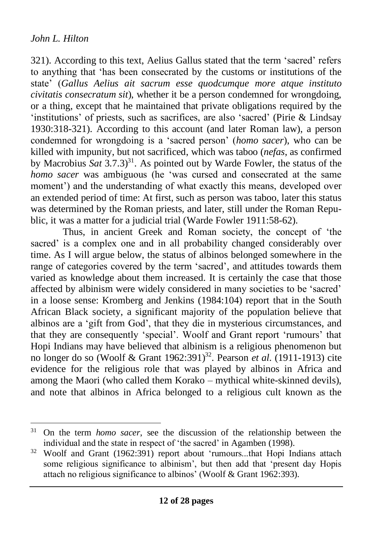321). According to this text, Aelius Gallus stated that the term 'sacred' refers to anything that 'has been consecrated by the customs or institutions of the state' (*Gallus Aelius ait sacrum esse quodcumque more atque instituto civitatis consecratum sit*), whether it be a person condemned for wrongdoing, or a thing, except that he maintained that private obligations required by the 'institutions' of priests, such as sacrifices, are also 'sacred' (Pirie & Lindsay 1930:318-321). According to this account (and later Roman law), a person condemned for wrongdoing is a 'sacred person' (*homo sacer*), who can be killed with impunity, but not sacrificed, which was taboo (*nefas*, as confirmed by Macrobius  $Sat\ 3.7.3$ <sup>31</sup>. As pointed out by Warde Fowler, the status of the *homo sacer* was ambiguous (he 'was cursed and consecrated at the same moment') and the understanding of what exactly this means, developed over an extended period of time: At first, such as person was taboo, later this status was determined by the Roman priests, and later, still under the Roman Republic, it was a matter for a judicial trial (Warde Fowler 1911:58-62).

Thus, in ancient Greek and Roman society, the concept of 'the sacred' is a complex one and in all probability changed considerably over time. As I will argue below, the status of albinos belonged somewhere in the range of categories covered by the term 'sacred', and attitudes towards them varied as knowledge about them increased. It is certainly the case that those affected by albinism were widely considered in many societies to be 'sacred' in a loose sense: Kromberg and Jenkins (1984:104) report that in the South African Black society, a significant majority of the population believe that albinos are a 'gift from God', that they die in mysterious circumstances, and that they are consequently 'special'. Woolf and Grant report 'rumours' that Hopi Indians may have believed that albinism is a religious phenomenon but no longer do so (Woolf & Grant 1962:391)<sup>32</sup> . Pearson *et al*. (1911-1913) cite evidence for the religious role that was played by albinos in Africa and among the Maori (who called them Korako – mythical white-skinned devils), and note that albinos in Africa belonged to a religious cult known as the

<sup>31</sup> On the term *homo sacer*, see the discussion of the relationship between the individual and the state in respect of 'the sacred' in Agamben (1998).

<sup>32</sup> Woolf and Grant (1962:391) report about 'rumours...that Hopi Indians attach some religious significance to albinism', but then add that 'present day Hopis attach no religious significance to albinos' (Woolf & Grant 1962:393).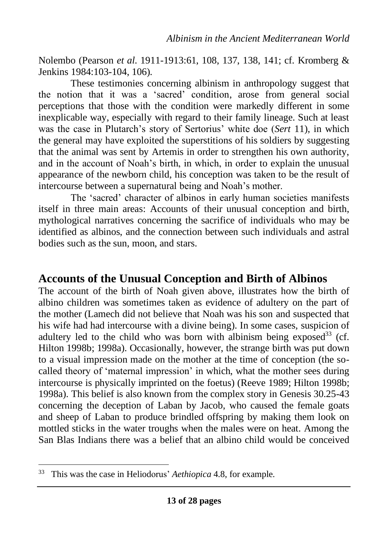Nolembo (Pearson *et al*. 1911-1913:61, 108, 137, 138, 141; cf. Kromberg & Jenkins 1984:103-104, 106).

These testimonies concerning albinism in anthropology suggest that the notion that it was a 'sacred' condition, arose from general social perceptions that those with the condition were markedly different in some inexplicable way, especially with regard to their family lineage. Such at least was the case in Plutarch's story of Sertorius' white doe (*Sert* 11), in which the general may have exploited the superstitions of his soldiers by suggesting that the animal was sent by Artemis in order to strengthen his own authority, and in the account of Noah's birth, in which, in order to explain the unusual appearance of the newborn child, his conception was taken to be the result of intercourse between a supernatural being and Noah's mother.

The 'sacred' character of albinos in early human societies manifests itself in three main areas: Accounts of their unusual conception and birth, mythological narratives concerning the sacrifice of individuals who may be identified as albinos, and the connection between such individuals and astral bodies such as the sun, moon, and stars.

# **Accounts of the Unusual Conception and Birth of Albinos**

The account of the birth of Noah given above, illustrates how the birth of albino children was sometimes taken as evidence of adultery on the part of the mother (Lamech did not believe that Noah was his son and suspected that his wife had had intercourse with a divine being). In some cases, suspicion of adultery led to the child who was born with albinism being exposed<sup>33</sup> (cf. Hilton 1998b; 1998a). Occasionally, however, the strange birth was put down to a visual impression made on the mother at the time of conception (the socalled theory of 'maternal impression' in which, what the mother sees during intercourse is physically imprinted on the foetus) (Reeve 1989; Hilton 1998b; 1998a). This belief is also known from the complex story in Genesis 30.25-43 concerning the deception of Laban by Jacob, who caused the female goats and sheep of Laban to produce brindled offspring by making them look on mottled sticks in the water troughs when the males were on heat. Among the San Blas Indians there was a belief that an albino child would be conceived

<sup>33</sup> This was the case in Heliodorus' *Aethiopica* 4.8, for example.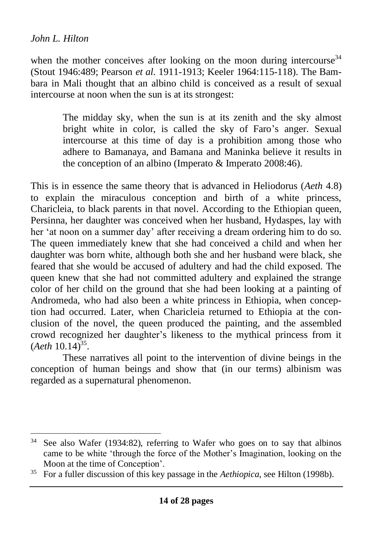when the mother conceives after looking on the moon during intercourse  $34$ (Stout 1946:489; Pearson *et al*. 1911-1913; Keeler 1964:115-118). The Bambara in Mali thought that an albino child is conceived as a result of sexual intercourse at noon when the sun is at its strongest:

> The midday sky, when the sun is at its zenith and the sky almost bright white in color, is called the sky of Faro's anger. Sexual intercourse at this time of day is a prohibition among those who adhere to Bamanaya, and Bamana and Maninka believe it results in the conception of an albino (Imperato & Imperato 2008:46).

This is in essence the same theory that is advanced in Heliodorus (*Aeth* 4.8) to explain the miraculous conception and birth of a white princess, Charicleia, to black parents in that novel. According to the Ethiopian queen, Persinna, her daughter was conceived when her husband, Hydaspes, lay with her 'at noon on a summer day' after receiving a dream ordering him to do so. The queen immediately knew that she had conceived a child and when her daughter was born white, although both she and her husband were black, she feared that she would be accused of adultery and had the child exposed. The queen knew that she had not committed adultery and explained the strange color of her child on the ground that she had been looking at a painting of Andromeda, who had also been a white princess in Ethiopia, when conception had occurred. Later, when Charicleia returned to Ethiopia at the conclusion of the novel, the queen produced the painting, and the assembled crowd recognized her daughter's likeness to the mythical princess from it  $(Aeth 10.14)^{35}$ .

These narratives all point to the intervention of divine beings in the conception of human beings and show that (in our terms) albinism was regarded as a supernatural phenomenon.

<sup>34</sup> See also Wafer (1934:82), referring to Wafer who goes on to say that albinos came to be white 'through the force of the Mother's Imagination, looking on the Moon at the time of Conception'.

<sup>35</sup> For a fuller discussion of this key passage in the *Aethiopica*, see Hilton (1998b).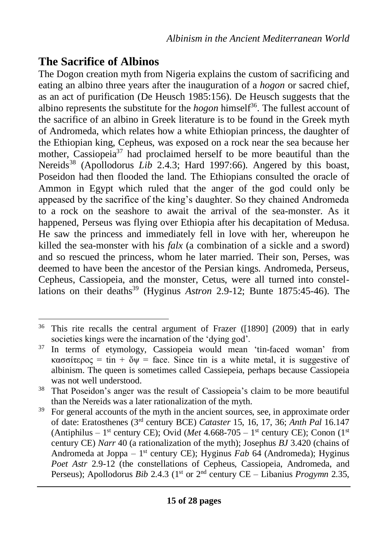# **The Sacrifice of Albinos**

The Dogon creation myth from Nigeria explains the custom of sacrificing and eating an albino three years after the inauguration of a *hogon* or sacred chief, as an act of purification (De Heusch 1985:156). De Heusch suggests that the albino represents the substitute for the *hogon* himself<sup>36</sup>. The fullest account of the sacrifice of an albino in Greek literature is to be found in the Greek myth of Andromeda, which relates how a white Ethiopian princess, the daughter of the Ethiopian king, Cepheus, was exposed on a rock near the sea because her mother, Cassiopeia<sup>37</sup> had proclaimed herself to be more beautiful than the Nereids<sup>38</sup> (Apollodorus *Lib* 2.4.3; Hard 1997:66). Angered by this boast, Poseidon had then flooded the land. The Ethiopians consulted the oracle of Ammon in Egypt which ruled that the anger of the god could only be appeased by the sacrifice of the king's daughter. So they chained Andromeda to a rock on the seashore to await the arrival of the sea-monster. As it happened, Perseus was flying over Ethiopia after his decapitation of Medusa. He saw the princess and immediately fell in love with her, whereupon he killed the sea-monster with his *falx* (a combination of a sickle and a sword) and so rescued the princess, whom he later married. Their son, Perses, was deemed to have been the ancestor of the Persian kings. Andromeda, Perseus, Cepheus, Cassiopeia, and the monster, Cetus, were all turned into constellations on their deaths<sup>39</sup> (Hyginus *Astron* 2.9-12; Bunte 1875:45-46). The

<sup>36</sup> This rite recalls the central argument of Frazer ([1890] (2009) that in early societies kings were the incarnation of the 'dying god'.

<sup>&</sup>lt;sup>37</sup> In terms of etymology, Cassiopeia would mean 'tin-faced woman' from κασσίτερος = tin + ὄψ = face. Since tin is a white metal, it is suggestive of albinism. The queen is sometimes called Cassiepeia, perhaps because Cassiopeia was not well understood.

<sup>38</sup> That Poseidon's anger was the result of Cassiopeia's claim to be more beautiful than the Nereids was a later rationalization of the myth.

<sup>&</sup>lt;sup>39</sup> For general accounts of the myth in the ancient sources, see, in approximate order of date: Eratosthenes (3rd century BCE) *Cataster* 15, 16, 17, 36; *Anth Pal* 16.147 (Antiphilus – 1<sup>st</sup> century CE); Ovid (*Met* 4.668-705 – 1<sup>st</sup> century CE); Conon (1<sup>st</sup>) century CE) *Narr* 40 (a rationalization of the myth); Josephus *BJ* 3.420 (chains of Andromeda at Joppa – 1 st century CE); Hyginus *Fab* 64 (Andromeda); Hyginus *Poet Astr* 2.9-12 (the constellations of Cepheus, Cassiopeia, Andromeda, and Perseus); Apollodorus *Bib* 2.4.3 (1st or 2nd century CE – Libanius *Progymn* 2.35,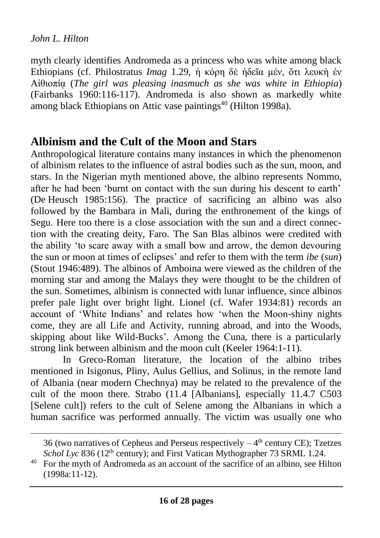myth clearly identifies Andromeda as a princess who was white among black Ethiopians (cf. Philostratus *Imag* 1.29, ἡ κόρη δὲ ἡδεῖα μέν, ὅτι λευκὴ ἐν Αἰθιοπίᾳ (*The girl was pleasing inasmuch as she was white in Ethiopia*) (Fairbanks 1960:116-117). Andromeda is also shown as markedly white among black Ethiopians on Attic vase paintings<sup>40</sup> (Hilton 1998a).

# **Albinism and the Cult of the Moon and Stars**

Anthropological literature contains many instances in which the phenomenon of albinism relates to the influence of astral bodies such as the sun, moon, and stars. In the Nigerian myth mentioned above, the albino represents Nommo, after he had been 'burnt on contact with the sun during his descent to earth' (De Heusch 1985:156). The practice of sacrificing an albino was also followed by the Bambara in Mali, during the enthronement of the kings of Segu. Here too there is a close association with the sun and a direct connection with the creating deity, Faro. The San Blas albinos were credited with the ability 'to scare away with a small bow and arrow, the demon devouring the sun or moon at times of eclipses' and refer to them with the term *ibe* (*sun*) (Stout 1946:489). The albinos of Amboina were viewed as the children of the morning star and among the Malays they were thought to be the children of the sun. Sometimes, albinism is connected with lunar influence, since albinos prefer pale light over bright light. Lionel (cf. Wafer 1934:81) records an account of 'White Indians' and relates how 'when the Moon-shiny nights come, they are all Life and Activity, running abroad, and into the Woods, skipping about like Wild-Bucks'. Among the Cuna, there is a particularly strong link between albinism and the moon cult (Keeler 1964:1-11).

In Greco-Roman literature, the location of the albino tribes mentioned in Isigonus, Pliny, Aulus Gellius, and Solinus, in the remote land of Albania (near modern Chechnya) may be related to the prevalence of the cult of the moon there. Strabo (11.4 [Albanians], especially 11.4.7 C503 [Selene cult]) refers to the cult of Selene among the Albanians in which a human sacrifice was performed annually. The victim was usually one who

<sup>36 (</sup>two narratives of Cepheus and Perseus respectively  $-4<sup>th</sup>$  century CE); Tzetzes *Schol Lyc* 836 (12th century); and First Vatican Mythographer 73 SRML 1.24.

<sup>40</sup> For the myth of Andromeda as an account of the sacrifice of an albino, see Hilton (1998a:11-12).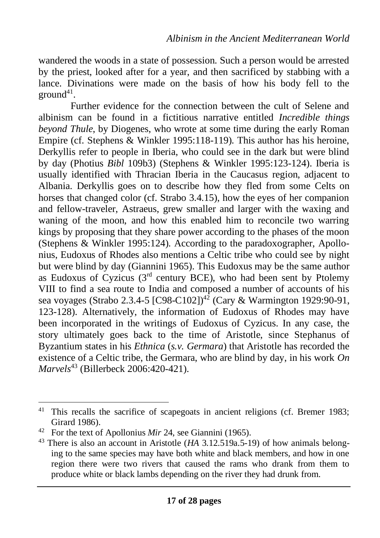wandered the woods in a state of possession. Such a person would be arrested by the priest, looked after for a year, and then sacrificed by stabbing with a lance. Divinations were made on the basis of how his body fell to the  $ground<sup>41</sup>$ .

Further evidence for the connection between the cult of Selene and albinism can be found in a fictitious narrative entitled *Incredible things beyond Thule*, by Diogenes, who wrote at some time during the early Roman Empire (cf. Stephens & Winkler 1995:118-119). This author has his heroine, Derkyllis refer to people in Iberia, who could see in the dark but were blind by day (Photius *Bibl* 109b3) (Stephens & Winkler 1995:123-124). Iberia is usually identified with Thracian Iberia in the Caucasus region, adjacent to Albania. Derkyllis goes on to describe how they fled from some Celts on horses that changed color (cf. Strabo 3.4.15), how the eyes of her companion and fellow-traveler, Astraeus, grew smaller and larger with the waxing and waning of the moon, and how this enabled him to reconcile two warring kings by proposing that they share power according to the phases of the moon (Stephens & Winkler 1995:124). According to the paradoxographer, Apollonius, Eudoxus of Rhodes also mentions a Celtic tribe who could see by night but were blind by day (Giannini 1965). This Eudoxus may be the same author as Eudoxus of Cyzicus  $(3<sup>rd</sup>$  century BCE), who had been sent by Ptolemy VIII to find a sea route to India and composed a number of accounts of his sea voyages (Strabo 2.3.4-5  $[C98-C102]^{42}$  (Cary & Warmington 1929:90-91, 123-128). Alternatively, the information of Eudoxus of Rhodes may have been incorporated in the writings of Eudoxus of Cyzicus. In any case, the story ultimately goes back to the time of Aristotle, since Stephanus of Byzantium states in his *Ethnica* (*s.v. Germara*) that Aristotle has recorded the existence of a Celtic tribe, the Germara, who are blind by day, in his work *On Marvels*<sup>43</sup> (Billerbeck 2006:420-421).

<sup>&</sup>lt;sup>41</sup> This recalls the sacrifice of scapegoats in ancient religions (cf. Bremer 1983; Girard 1986).

<sup>42</sup> For the text of Apollonius *Mir* 24, see Giannini (1965).

<sup>43</sup> There is also an account in Aristotle (*HA* 3.12.519a.5-19) of how animals belonging to the same species may have both white and black members, and how in one region there were two rivers that caused the rams who drank from them to produce white or black lambs depending on the river they had drunk from.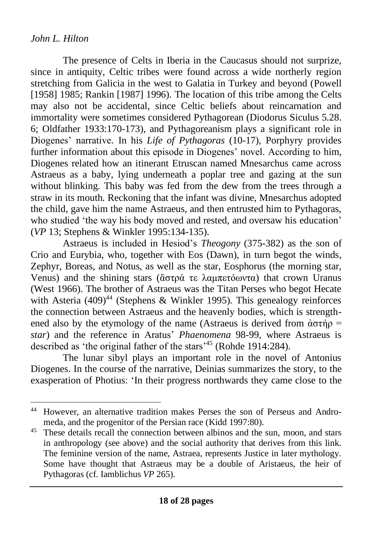The presence of Celts in Iberia in the Caucasus should not surprize, since in antiquity, Celtic tribes were found across a wide northerly region stretching from Galicia in the west to Galatia in Turkey and beyond (Powell [1958] 1985; Rankin [1987] 1996). The location of this tribe among the Celts may also not be accidental, since Celtic beliefs about reincarnation and immortality were sometimes considered Pythagorean (Diodorus Siculus 5.28. 6; Oldfather 1933:170-173), and Pythagoreanism plays a significant role in Diogenes' narrative. In his *Life of Pythagoras* (10-17), Porphyry provides further information about this episode in Diogenes' novel. According to him, Diogenes related how an itinerant Etruscan named Mnesarchus came across Astraeus as a baby, lying underneath a poplar tree and gazing at the sun without blinking. This baby was fed from the dew from the trees through a straw in its mouth. Reckoning that the infant was divine, Mnesarchus adopted the child, gave him the name Astraeus, and then entrusted him to Pythagoras, who studied 'the way his body moved and rested, and oversaw his education' (*VP* 13; Stephens & Winkler 1995:134-135).

Astraeus is included in Hesiod's *Theogony* (375-382) as the son of Crio and Eurybia, who, together with Eos (Dawn), in turn begot the winds, Zephyr, Boreas, and Notus, as well as the star, Eosphorus (the morning star, Venus) and the shining stars (ἄστρά τε λαμπετόωντα) that crown Uranus (West 1966). The brother of Astraeus was the Titan Perses who begot Hecate with Asteria  $(409)^{44}$  (Stephens & Winkler 1995). This genealogy reinforces the connection between Astraeus and the heavenly bodies, which is strengthened also by the etymology of the name (Astraeus is derived from  $\dot{\alpha} \sigma \tau \dot{\eta} \rho$  = *star*) and the reference in Aratus' *Phaenomena* 98-99, where Astraeus is described as 'the original father of the stars'<sup>45</sup> (Rohde 1914:284).

The lunar sibyl plays an important role in the novel of Antonius Diogenes. In the course of the narrative, Deinias summarizes the story, to the exasperation of Photius: 'In their progress northwards they came close to the

<sup>44</sup> However, an alternative tradition makes Perses the son of Perseus and Andromeda, and the progenitor of the Persian race (Kidd 1997:80).

<sup>&</sup>lt;sup>45</sup> These details recall the connection between albinos and the sun, moon, and stars in anthropology (see above) and the social authority that derives from this link. The feminine version of the name, Astraea, represents Justice in later mythology. Some have thought that Astraeus may be a double of Aristaeus, the heir of Pythagoras (cf. Iamblichus *VP* 265).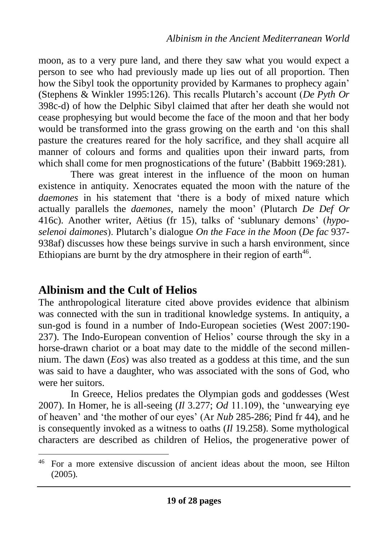moon, as to a very pure land, and there they saw what you would expect a person to see who had previously made up lies out of all proportion. Then how the Sibyl took the opportunity provided by Karmanes to prophecy again' (Stephens & Winkler 1995:126). This recalls Plutarch's account (*De Pyth Or* 398c-d) of how the Delphic Sibyl claimed that after her death she would not cease prophesying but would become the face of the moon and that her body would be transformed into the grass growing on the earth and 'on this shall pasture the creatures reared for the holy sacrifice, and they shall acquire all manner of colours and forms and qualities upon their inward parts, from which shall come for men prognostications of the future' (Babbitt 1969:281).

There was great interest in the influence of the moon on human existence in antiquity. Xenocrates equated the moon with the nature of the *daemones* in his statement that 'there is a body of mixed nature which actually parallels the *daemones*, namely the moon' (Plutarch *De Def Or* 416c). Another writer, Aëtius (fr 15), talks of 'sublunary demons' (*hyposelenoi daimones*). Plutarch's dialogue *On the Face in the Moon* (*De fac* 937- 938af) discusses how these beings survive in such a harsh environment, since Ethiopians are burnt by the dry atmosphere in their region of earth $46$ .

## **Albinism and the Cult of Helios**

The anthropological literature cited above provides evidence that albinism was connected with the sun in traditional knowledge systems. In antiquity, a sun-god is found in a number of Indo-European societies (West 2007:190- 237). The Indo-European convention of Helios' course through the sky in a horse-drawn chariot or a boat may date to the middle of the second millennium. The dawn (*Eos*) was also treated as a goddess at this time, and the sun was said to have a daughter, who was associated with the sons of God, who were her suitors.

In Greece, Helios predates the Olympian gods and goddesses (West 2007). In Homer, he is all-seeing (*Il* 3.277; *Od* 11.109), the 'unwearying eye of heaven' and 'the mother of our eyes' (Ar *Nub* 285-286; Pind fr 44), and he is consequently invoked as a witness to oaths (*Il* 19.258). Some mythological characters are described as children of Helios, the progenerative power of

<sup>46</sup> For a more extensive discussion of ancient ideas about the moon, see Hilton (2005).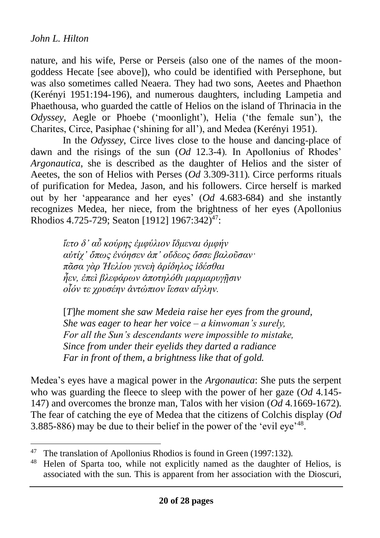nature, and his wife, Perse or Perseis (also one of the names of the moongoddess Hecate [see above]), who could be identified with Persephone, but was also sometimes called Neaera. They had two sons, Aeetes and Phaethon (Kerényi 1951:194-196), and numerous daughters, including Lampetia and Phaethousa, who guarded the cattle of Helios on the island of Thrinacia in the *Odyssey*, Aegle or Phoebe ('moonlight'), Helia ('the female sun'), the Charites, Circe, Pasiphae ('shining for all'), and Medea (Kerényi 1951).

In the *Odyssey*, Circe lives close to the house and dancing-place of dawn and the risings of the sun (*Od* 12.3-4). In Apollonius of Rhodes' *Argonautica*, she is described as the daughter of Helios and the sister of Aeetes, the son of Helios with Perses (*Od* 3.309-311). Circe performs rituals of purification for Medea, Jason, and his followers. Circe herself is marked out by her 'appearance and her eyes' (*Od* 4.683-684) and she instantly recognizes Medea, her niece, from the brightness of her eyes (Apollonius Rhodios 4.725-729; Seaton [1912] 1967:342) 47:

> *ἵετο δ' αὖ κούρης ἐμφύλιον ἴδμεναι ὀμφήν αὐτίχ' ὅπως ἐνόησεν ἀπ' οὔδεος ὄσσε βαλοῦσαν· πᾶσα γὰρ Ἠελίου γενεὴ ἀρίδηλος ἰδέσθαι ἦεν, ἐπεὶ βλεφάρων ἀποτηλόθι μαρμαρυγῇσιν οἷόν τε χρυσέην ἀντώπιον ἵεσαν αἴγλην.*

[*T*]*he moment she saw Medeia raise her eyes from the ground, She was eager to hear her voice – a kinwoman's surely, For all the Sun's descendants were impossible to mistake, Since from under their eyelids they darted a radiance Far in front of them, a brightness like that of gold.*

Medea's eyes have a magical power in the *Argonautica*: She puts the serpent who was guarding the fleece to sleep with the power of her gaze (*Od* 4.145- 147) and overcomes the bronze man, Talos with her vision (*Od* 4.1669-1672). The fear of catching the eye of Medea that the citizens of Colchis display (*Od* 3.885-886) may be due to their belief in the power of the 'evil eye'<sup>48</sup>.

<sup>&</sup>lt;sup>47</sup> The translation of Apollonius Rhodios is found in Green (1997:132).

<sup>48</sup> Helen of Sparta too, while not explicitly named as the daughter of Helios, is associated with the sun. This is apparent from her association with the Dioscuri,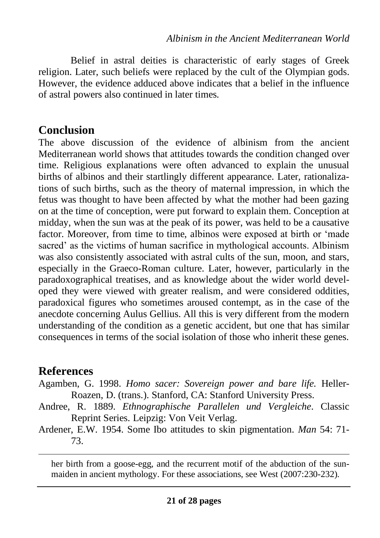Belief in astral deities is characteristic of early stages of Greek religion. Later, such beliefs were replaced by the cult of the Olympian gods. However, the evidence adduced above indicates that a belief in the influence of astral powers also continued in later times.

# **Conclusion**

The above discussion of the evidence of albinism from the ancient Mediterranean world shows that attitudes towards the condition changed over time. Religious explanations were often advanced to explain the unusual births of albinos and their startlingly different appearance. Later, rationalizations of such births, such as the theory of maternal impression, in which the fetus was thought to have been affected by what the mother had been gazing on at the time of conception, were put forward to explain them. Conception at midday, when the sun was at the peak of its power, was held to be a causative factor. Moreover, from time to time, albinos were exposed at birth or 'made sacred' as the victims of human sacrifice in mythological accounts. Albinism was also consistently associated with astral cults of the sun, moon, and stars, especially in the Graeco-Roman culture. Later, however, particularly in the paradoxographical treatises, and as knowledge about the wider world developed they were viewed with greater realism, and were considered oddities, paradoxical figures who sometimes aroused contempt, as in the case of the anecdote concerning Aulus Gellius. All this is very different from the modern understanding of the condition as a genetic accident, but one that has similar consequences in terms of the social isolation of those who inherit these genes.

# **References**

- Agamben, G. 1998. *Homo sacer: Sovereign power and bare life.* Heller-Roazen, D. (trans.). Stanford, CA: Stanford University Press.
- Andree, R. 1889. *Ethnographische Parallelen und Vergleiche*. Classic Reprint Series. Leipzig: Von Veit Verlag.
- Ardener, E.W. 1954. Some Ibo attitudes to skin pigmentation. *Man* 54: 71- 73.

her birth from a goose-egg, and the recurrent motif of the abduction of the sunmaiden in ancient mythology. For these associations, see West (2007:230-232).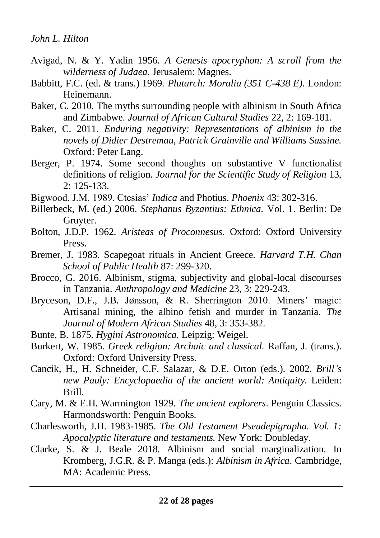- Avigad, N. & Y. Yadin 1956. *A Genesis apocryphon: A scroll from the wilderness of Judaea.* Jerusalem: Magnes.
- Babbitt, F.C. (ed. & trans.) 1969. *Plutarch: Moralia (351 C-438 E).* London: Heinemann.
- Baker, C. 2010. The myths surrounding people with albinism in South Africa and Zimbabwe. *Journal of African Cultural Studies* 22, 2: 169-181.
- Baker, C. 2011. *Enduring negativity: Representations of albinism in the novels of Didier Destremau, Patrick Grainville and Williams Sassine.* Oxford: Peter Lang.
- Berger, P. 1974. Some second thoughts on substantive V functionalist definitions of religion. *Journal for the Scientific Study of Religion* 13, 2: 125-133.
- Bigwood, J.M. 1989. Ctesias' *Indica* and Photius. *Phoenix* 43: 302-316.
- Billerbeck, M. (ed.) 2006. *Stephanus Byzantius: Ethnica.* Vol. 1. Berlin: De Gruyter.
- Bolton, J.D.P. 1962. *Aristeas of Proconnesus.* Oxford: Oxford University Press.
- Bremer, J. 1983. Scapegoat rituals in Ancient Greece. *Harvard T.H. Chan School of Public Health* 87: 299-320.
- Brocco, G. 2016. Albinism, stigma, subjectivity and global-local discourses in Tanzania. *Anthropology and Medicine* 23, 3: 229-243.
- Bryceson, D.F., J.B. Jønsson, & R. Sherrington 2010. Miners' magic: Artisanal mining, the albino fetish and murder in Tanzania. *The Journal of Modern African Studies* 48, 3: 353-382.
- Bunte, B. 1875. *Hygini Astronomica*. Leipzig: Weigel.
- Burkert, W. 1985. *Greek religion: Archaic and classical.* Raffan, J. (trans.). Oxford: Oxford University Press.
- Cancik, H., H. Schneider, C.F. Salazar, & D.E. Orton (eds.). 2002. *Brill's new Pauly: Encyclopaedia of the ancient world: Antiquity.* Leiden: Brill.
- Cary, M. & E.H. Warmington 1929. *The ancient explorers*. Penguin Classics. Harmondsworth: Penguin Books.
- Charlesworth, J.H. 1983-1985. *The Old Testament Pseudepigrapha. Vol. 1: Apocalyptic literature and testaments.* New York: Doubleday.
- Clarke, S. & J. Beale 2018. Albinism and social marginalization. In Kromberg, J.G.R. & P. Manga (eds.): *Albinism in Africa*. Cambridge, MA: Academic Press.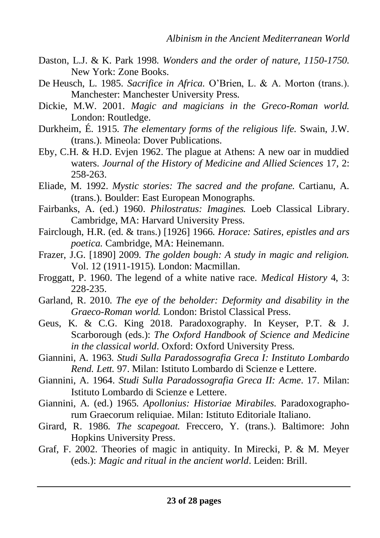- Daston, L.J. & K. Park 1998. *Wonders and the order of nature, 1150-1750.* New York: Zone Books.
- De Heusch, L. 1985. *Sacrifice in Africa.* O'Brien, L. & A. Morton (trans.). Manchester: Manchester University Press.
- Dickie, M.W. 2001. *Magic and magicians in the Greco-Roman world.* London: Routledge.
- Durkheim, É. 1915. *The elementary forms of the religious life.* Swain, J.W. (trans.). Mineola: Dover Publications.
- Eby, C.H. & H.D. Evjen 1962. The plague at Athens: A new oar in muddied waters. *Journal of the History of Medicine and Allied Sciences* 17, 2: 258-263.
- Eliade, M. 1992. *Mystic stories: The sacred and the profane.* Cartianu, A. (trans.). Boulder: East European Monographs.
- Fairbanks, A. (ed.) 1960. *Philostratus: Imagines.* Loeb Classical Library. Cambridge, MA: Harvard University Press.
- Fairclough, H.R. (ed. & trans.) [1926] 1966. *Horace: Satires, epistles and ars poetica.* Cambridge, MA: Heinemann.
- Frazer, J.G. [1890] 2009. *The golden bough: A study in magic and religion.* Vol. 12 (1911-1915). London: Macmillan.
- Froggatt, P. 1960. The legend of a white native race. *Medical History* 4, 3: 228-235.
- Garland, R. 2010. *The eye of the beholder: Deformity and disability in the Graeco-Roman world.* London: Bristol Classical Press.
- Geus, K. & C.G. King 2018. Paradoxography. In Keyser, P.T. & J. Scarborough (eds.): *The Oxford Handbook of Science and Medicine in the classical world*. Oxford: Oxford University Press.
- Giannini, A. 1963. *Studi Sulla Paradossografia Greca I: Instituto Lombardo Rend. Lett.* 97. Milan: Istituto Lombardo di Scienze e Lettere.
- Giannini, A. 1964. *Studi Sulla Paradossografia Greca II: Acme*. 17. Milan: Istituto Lombardo di Scienze e Lettere.
- Giannini, A. (ed.) 1965. *Apollonius: Historiae Mirabiles.* Paradoxographorum Graecorum reliquiae. Milan: Istituto Editoriale Italiano.
- Girard, R. 1986. *The scapegoat.* Freccero, Y. (trans.). Baltimore: John Hopkins University Press.
- Graf, F. 2002. Theories of magic in antiquity. In Mirecki, P. & M. Meyer (eds.): *Magic and ritual in the ancient world*. Leiden: Brill.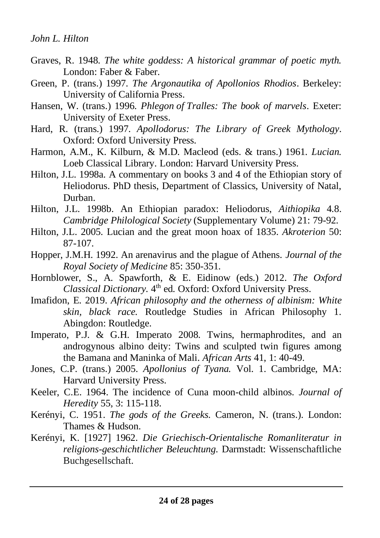- Graves, R. 1948. *The white goddess: A historical grammar of poetic myth.* London: Faber & Faber.
- Green, P. (trans.) 1997. *The Argonautika of Apollonios Rhodios*. Berkeley: University of California Press.
- Hansen, W. (trans.) 1996. *Phlegon of Tralles: The book of marvels*. Exeter: University of Exeter Press.
- Hard, R. (trans.) 1997. *Apollodorus: The Library of Greek Mythology*. Oxford: Oxford University Press.
- Harmon, A.M., K. Kilburn, & M.D. Macleod (eds. & trans.) 1961. *Lucian.*  Loeb Classical Library. London: Harvard University Press.
- Hilton, J.L. 1998a. A commentary on books 3 and 4 of the Ethiopian story of Heliodorus. PhD thesis, Department of Classics, University of Natal, Durban.
- Hilton, J.L. 1998b. An Ethiopian paradox: Heliodorus, *Aithiopika* 4.8. *Cambridge Philological Society* (Supplementary Volume) 21: 79-92.
- Hilton, J.L. 2005. Lucian and the great moon hoax of 1835. *Akroterion* 50: 87-107.
- Hopper, J.M.H. 1992. An arenavirus and the plague of Athens. *Journal of the Royal Society of Medicine* 85: 350-351.
- Hornblower, S., A. Spawforth, & E. Eidinow (eds.) 2012. *The Oxford*  Classical Dictionary. 4<sup>th</sup> ed. Oxford: Oxford University Press.
- Imafidon, E. 2019. *African philosophy and the otherness of albinism: White skin, black race.* Routledge Studies in African Philosophy 1. Abingdon: Routledge.
- Imperato, P.J. & G.H. Imperato 2008. Twins, hermaphrodites, and an androgynous albino deity: Twins and sculpted twin figures among the Bamana and Maninka of Mali. *African Arts* 41, 1: 40-49.
- Jones, C.P. (trans.) 2005. *Apollonius of Tyana.* Vol. 1. Cambridge, MA: Harvard University Press.
- Keeler, C.E. 1964. The incidence of Cuna moon-child albinos. *Journal of Heredity* 55, 3: 115-118.
- Kerényi, C. 1951. *The gods of the Greeks.* Cameron, N. (trans.). London: Thames & Hudson.
- Kerényi, K. [1927] 1962. *Die Griechisch-Orientalische Romanliteratur in religions-geschichtlicher Beleuchtung.* Darmstadt: Wissenschaftliche Buchgesellschaft.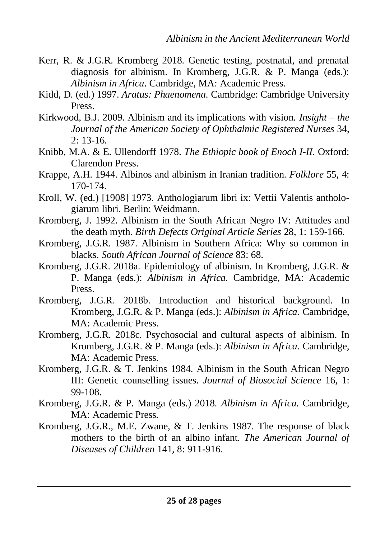- Kerr, R. & J.G.R. Kromberg 2018. Genetic testing, postnatal, and prenatal diagnosis for albinism. In Kromberg, J.G.R. & P. Manga (eds.): *Albinism in Africa*. Cambridge, MA: Academic Press.
- Kidd, D. (ed.) 1997. *Aratus: Phaenomena.* Cambridge: Cambridge University Press.
- Kirkwood, B.J. 2009. Albinism and its implications with vision. *Insight the Journal of the American Society of Ophthalmic Registered Nurses* 34,  $2: 13-16.$
- Knibb, M.A. & E. Ullendorff 1978. *The Ethiopic book of Enoch I-II.* Oxford: Clarendon Press.
- Krappe, A.H. 1944. Albinos and albinism in Iranian tradition. *Folklore* 55, 4: 170-174.
- Kroll, W. (ed.) [1908] 1973. Anthologiarum libri ix: Vettii Valentis anthologiarum libri. Berlin: Weidmann.
- Kromberg, J. 1992. Albinism in the South African Negro IV: Attitudes and the death myth. *Birth Defects Original Article Series* 28, 1: 159-166.
- Kromberg, J.G.R. 1987. Albinism in Southern Africa: Why so common in blacks. *South African Journal of Science* 83: 68.
- Kromberg, J.G.R. 2018a. Epidemiology of albinism. In Kromberg, J.G.R. & P. Manga (eds.): *Albinism in Africa.* Cambridge, MA: Academic Press.
- Kromberg, J.G.R. 2018b. Introduction and historical background. In Kromberg, J.G.R. & P. Manga (eds.): *Albinism in Africa.* Cambridge, MA: Academic Press.
- Kromberg, J.G.R. 2018c. Psychosocial and cultural aspects of albinism. In Kromberg, J.G.R. & P. Manga (eds.): *Albinism in Africa.* Cambridge, MA: Academic Press.
- Kromberg, J.G.R. & T. Jenkins 1984. Albinism in the South African Negro III: Genetic counselling issues. *Journal of Biosocial Science* 16, 1: 99-108.
- Kromberg, J.G.R. & P. Manga (eds.) 2018. *Albinism in Africa.* Cambridge, MA: Academic Press.
- Kromberg, J.G.R., M.E. Zwane, & T. Jenkins 1987. The response of black mothers to the birth of an albino infant. *The American Journal of Diseases of Children* 141, 8: 911-916.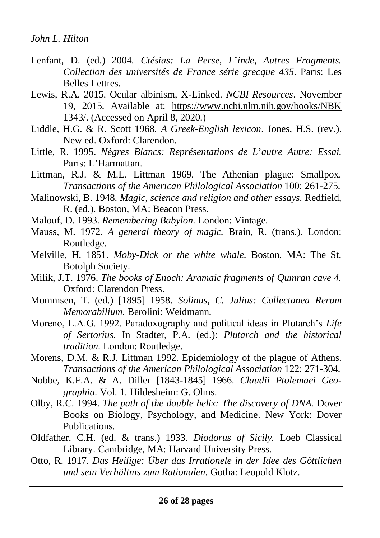- Lenfant, D. (ed.) 2004. *Ctésias: La Perse, L*'*inde, Autres Fragments. Collection des universités de France série grecque 435*. Paris: Les Belles Lettres.
- Lewis, R.A. 2015. Ocular albinism, X-Linked. *NCBI Resources*. November 19, 2015. Available at: https://www.ncbi.nlm.nih.gov/books/NBK 1343/. (Accessed on April 8, 2020.)
- Liddle, H.G. & R. Scott 1968. *A Greek-English lexicon*. Jones, H.S. (rev.). New ed. Oxford: Clarendon.
- Little, R. 1995. *Nègres Blancs: Représentations de L*'*autre Autre: Essai.* Paris: L'Harmattan.
- Littman, R.J. & M.L. Littman 1969. The Athenian plague: Smallpox. *Transactions of the American Philological Association* 100: 261-275.
- Malinowski, B. 1948. *Magic, science and religion and other essays.* Redfield, R. (ed.). Boston, MA: Beacon Press.
- Malouf, D. 1993. *Remembering Babylon.* London: Vintage.
- Mauss, M. 1972. *A general theory of magic.* Brain, R. (trans.). London: Routledge.
- Melville, H. 1851. *Moby-Dick or the white whale.* Boston, MA: The St. Botolph Society.
- Milik, J.T. 1976. *The books of Enoch: Aramaic fragments of Qumran cave 4.* Oxford: Clarendon Press.
- Mommsen, T. (ed.) [1895] 1958. *Solinus, C. Julius: Collectanea Rerum Memorabilium.* Berolini: Weidmann.
- Moreno, L.A.G. 1992. Paradoxography and political ideas in Plutarch's *Life of Sertorius*. In Stadter, P.A. (ed.): *Plutarch and the historical tradition.* London: Routledge.
- Morens, D.M. & R.J. Littman 1992. Epidemiology of the plague of Athens. *Transactions of the American Philological Association* 122: 271-304.
- Nobbe, K.F.A. & A. Diller [1843-1845] 1966. *Claudii Ptolemaei Geographia.* Vol. 1. Hildesheim: G. Olms.
- Olby, R.C. 1994. *The path of the double helix: The discovery of DNA.* Dover Books on Biology, Psychology, and Medicine. New York: Dover Publications.
- Oldfather, C.H. (ed. & trans.) 1933. *Diodorus of Sicily.* Loeb Classical Library. Cambridge, MA: Harvard University Press.
- Otto, R. 1917. *Das Heilige: Über das Irrationele in der Idee des Göttlichen und sein Verhältnis zum Rationalen.* Gotha: Leopold Klotz.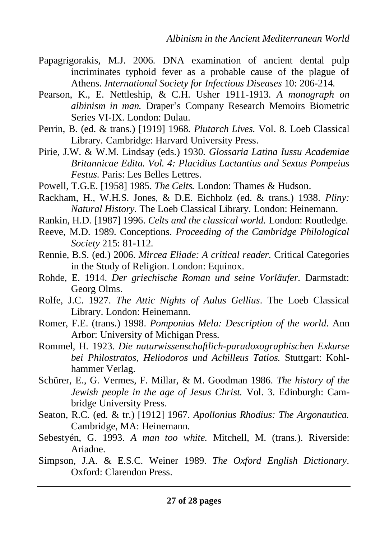- Papagrigorakis, M.J. 2006. DNA examination of ancient dental pulp incriminates typhoid fever as a probable cause of the plague of Athens. *International Society for Infectious Diseases* 10: 206-214.
- Pearson, K., E. Nettleship, & C.H. Usher 1911-1913. *A monograph on albinism in man.* Draper's Company Research Memoirs Biometric Series VI-IX. London: Dulau.
- Perrin, B. (ed. & trans.) [1919] 1968. *Plutarch Lives.* Vol. 8. Loeb Classical Library*.* Cambridge: Harvard University Press.
- Pirie, J.W. & W.M. Lindsay (eds.) 1930. *Glossaria Latina Iussu Academiae Britannicae Edita. Vol. 4: Placidius Lactantius and Sextus Pompeius Festus.* Paris: Les Belles Lettres.
- Powell, T.G.E. [1958] 1985. *The Celts.* London: Thames & Hudson.
- Rackham, H., W.H.S. Jones, & D.E. Eichholz (ed. & trans.) 1938. *Pliny: Natural History.* The Loeb Classical Library. London: Heinemann.
- Rankin, H.D. [1987] 1996. *Celts and the classical world.* London: Routledge.
- Reeve, M.D. 1989. Conceptions. *Proceeding of the Cambridge Philological Society* 215: 81-112.
- Rennie, B.S. (ed.) 2006. *Mircea Eliade: A critical reader.* Critical Categories in the Study of Religion. London: Equinox.
- Rohde, E. 1914. *Der griechische Roman und seine Vorläufer.* Darmstadt: Georg Olms.
- Rolfe, J.C. 1927. *The Attic Nights of Aulus Gellius*. The Loeb Classical Library. London: Heinemann.
- Romer, F.E. (trans.) 1998. *Pomponius Mela: Description of the world*. Ann Arbor: University of Michigan Press.
- Rommel, H. 1923. *Die naturwissenschaftlich-paradoxographischen Exkurse bei Philostratos, Heliodoros und Achilleus Tatios.* Stuttgart: Kohlhammer Verlag.
- Schürer, E., G. Vermes, F. Millar, & M. Goodman 1986. *The history of the Jewish people in the age of Jesus Christ.* Vol. 3. Edinburgh: Cambridge University Press.
- Seaton, R.C. (ed. & tr.) [1912] 1967. *Apollonius Rhodius: The Argonautica.*  Cambridge, MA: Heinemann.
- Sebestyén, G. 1993. *A man too white.* Mitchell, M. (trans.). Riverside: Ariadne.
- Simpson, J.A. & E.S.C. Weiner 1989. *The Oxford English Dictionary*. Oxford: Clarendon Press.